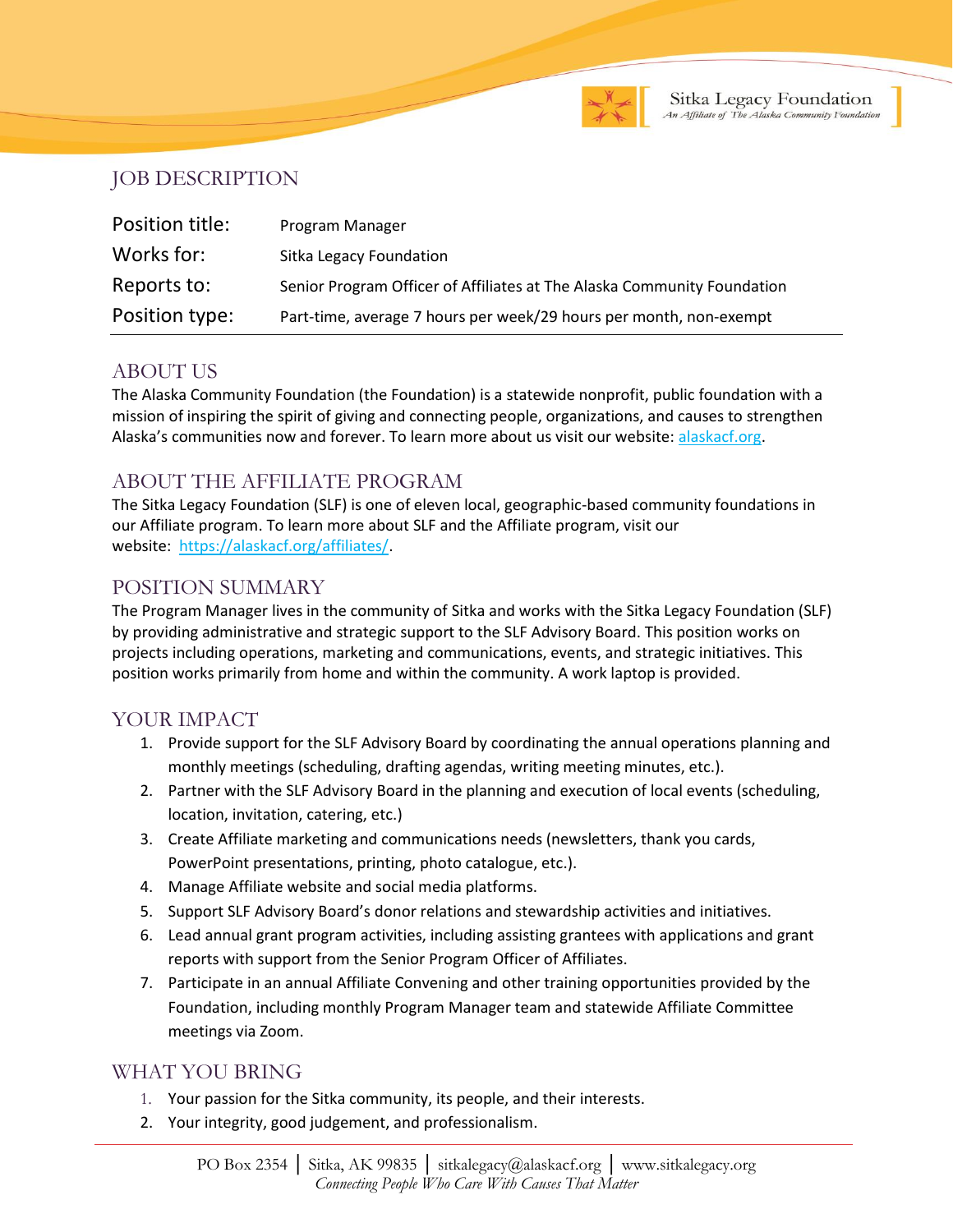

### JOB DESCRIPTION

| Position title: | Program Manager                                                         |
|-----------------|-------------------------------------------------------------------------|
| Works for:      | Sitka Legacy Foundation                                                 |
| Reports to:     | Senior Program Officer of Affiliates at The Alaska Community Foundation |
| Position type:  | Part-time, average 7 hours per week/29 hours per month, non-exempt      |

### ABOUT US

The Alaska Community Foundation (the Foundation) is a statewide nonprofit, public foundation with a mission of inspiring the spirit of giving and connecting people, organizations, and causes to strengthen Alaska's communities now and forever. To learn more about us visit our website: [alaskacf.org.](http://www.alaskacf.org/)

# ABOUT THE AFFILIATE PROGRAM

The [Sitka Legacy](https://ketchikancf.org/) Foundation (SLF) is one of eleven local, geographic-based community foundations in our Affiliate program. To learn more about SLF and the Affiliate program, visit our website: [https://alaskacf.org/affiliates/.](https://alaskacf.org/affiliates/)

## POSITION SUMMARY

The Program Manager lives in the community of Sitka and works with the Sitka Legacy Foundation (SLF) by providing administrative and strategic support to the SLF Advisory Board. This position works on projects including operations, marketing and communications, events, and strategic initiatives. This position works primarily from home and within the community. A work laptop is provided.

## YOUR IMPACT

- 1. Provide support for the SLF Advisory Board by coordinating the annual operations planning and monthly meetings (scheduling, drafting agendas, writing meeting minutes, etc.).
- 2. Partner with the SLF Advisory Board in the planning and execution of local events (scheduling, location, invitation, catering, etc.)
- 3. Create Affiliate marketing and communications needs (newsletters, thank you cards, PowerPoint presentations, printing, photo catalogue, etc.).
- 4. Manage Affiliate website and social media platforms.
- 5. Support SLF Advisory Board's donor relations and stewardship activities and initiatives.
- 6. Lead annual grant program activities, including assisting grantees with applications and grant reports with support from the Senior Program Officer of Affiliates.
- 7. Participate in an annual Affiliate Convening and other training opportunities provided by the Foundation, including monthly Program Manager team and statewide Affiliate Committee meetings via Zoom.

### WHAT YOU BRING

- 1. Your passion for the Sitka community, its people, and their interests.
- 2. Your integrity, good judgement, and professionalism.